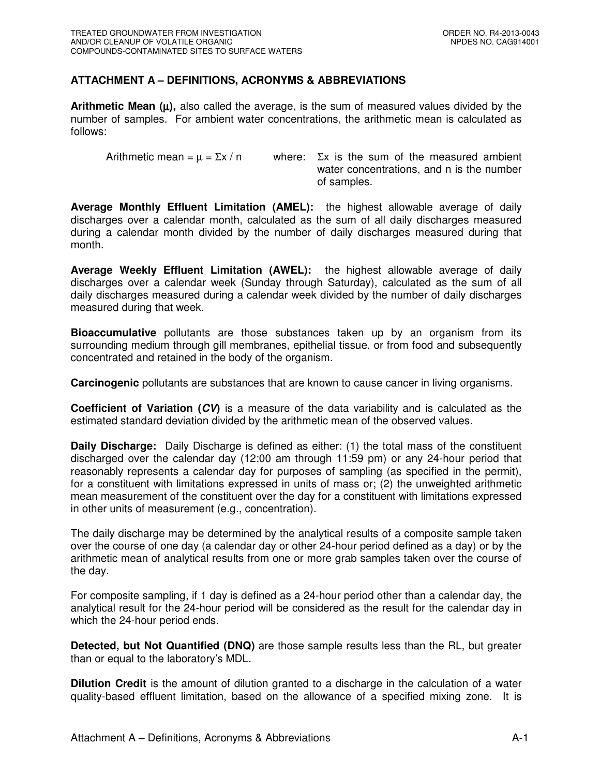## **ATTACHMENT A – DEFINITIONS, ACRONYMS & ABBREVIATIONS**

**Arithmetic Mean**  $(\mu)$ **, also called the average, is the sum of measured values divided by the** number of samples. For ambient water concentrations, the arithmetic mean is calculated as follows:

Arithmetic mean =  $\mu$  =  $\Sigma x / n$  where:  $\Sigma x$  is the sum of the measured ambient water concentrations, and n is the number of samples.

**Average Monthly Effluent Limitation (AMEL):** the highest allowable average of daily discharges over a calendar month, calculated as the sum of all daily discharges measured during a calendar month divided by the number of daily discharges measured during that month.

**Average Weekly Effluent Limitation (AWEL):** the highest allowable average of daily discharges over a calendar week (Sunday through Saturday), calculated as the sum of all daily discharges measured during a calendar week divided by the number of daily discharges measured during that week.

**Bioaccumulative** pollutants are those substances taken up by an organism from its surrounding medium through gill membranes, epithelial tissue, or from food and subsequently concentrated and retained in the body of the organism.

**Carcinogenic** pollutants are substances that are known to cause cancer in living organisms.

**Coefficient of Variation (CV)** is a measure of the data variability and is calculated as the estimated standard deviation divided by the arithmetic mean of the observed values.

**Daily Discharge:** Daily Discharge is defined as either: (1) the total mass of the constituent discharged over the calendar day (12:00 am through 11:59 pm) or any 24-hour period that reasonably represents a calendar day for purposes of sampling (as specified in the permit), for a constituent with limitations expressed in units of mass or; (2) the unweighted arithmetic mean measurement of the constituent over the day for a constituent with limitations expressed in other units of measurement (e.g., concentration).

The daily discharge may be determined by the analytical results of a composite sample taken over the course of one day (a calendar day or other 24-hour period defined as a day) or by the arithmetic mean of analytical results from one or more grab samples taken over the course of the day.

For composite sampling, if 1 day is defined as a 24-hour period other than a calendar day, the analytical result for the 24-hour period will be considered as the result for the calendar day in which the 24-hour period ends.

**Detected, but Not Quantified (DNQ)** are those sample results less than the RL, but greater than or equal to the laboratory's MDL.

**Dilution Credit** is the amount of dilution granted to a discharge in the calculation of a water quality-based effluent limitation, based on the allowance of a specified mixing zone. It is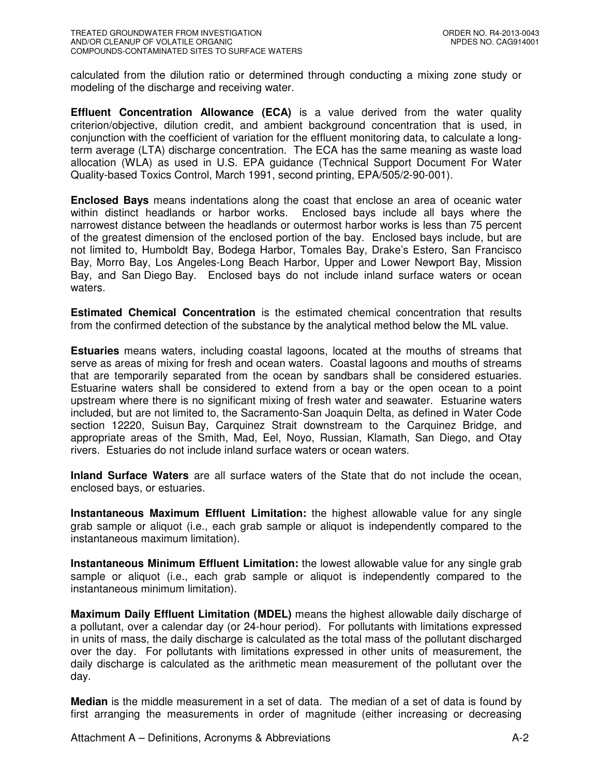calculated from the dilution ratio or determined through conducting a mixing zone study or modeling of the discharge and receiving water.

**Effluent Concentration Allowance (ECA)** is a value derived from the water quality criterion/objective, dilution credit, and ambient background concentration that is used, in conjunction with the coefficient of variation for the effluent monitoring data, to calculate a longterm average (LTA) discharge concentration. The ECA has the same meaning as waste load allocation (WLA) as used in U.S. EPA guidance (Technical Support Document For Water Quality-based Toxics Control, March 1991, second printing, EPA/505/2-90-001).

**Enclosed Bays** means indentations along the coast that enclose an area of oceanic water within distinct headlands or harbor works. Enclosed bays include all bays where the narrowest distance between the headlands or outermost harbor works is less than 75 percent of the greatest dimension of the enclosed portion of the bay. Enclosed bays include, but are not limited to, Humboldt Bay, Bodega Harbor, Tomales Bay, Drake's Estero, San Francisco Bay, Morro Bay, Los Angeles-Long Beach Harbor, Upper and Lower Newport Bay, Mission Bay, and San Diego Bay. Enclosed bays do not include inland surface waters or ocean waters.

**Estimated Chemical Concentration** is the estimated chemical concentration that results from the confirmed detection of the substance by the analytical method below the ML value.

**Estuaries** means waters, including coastal lagoons, located at the mouths of streams that serve as areas of mixing for fresh and ocean waters. Coastal lagoons and mouths of streams that are temporarily separated from the ocean by sandbars shall be considered estuaries. Estuarine waters shall be considered to extend from a bay or the open ocean to a point upstream where there is no significant mixing of fresh water and seawater. Estuarine waters included, but are not limited to, the Sacramento-San Joaquin Delta, as defined in Water Code section 12220, Suisun Bay, Carquinez Strait downstream to the Carquinez Bridge, and appropriate areas of the Smith, Mad, Eel, Noyo, Russian, Klamath, San Diego, and Otay rivers. Estuaries do not include inland surface waters or ocean waters.

**Inland Surface Waters** are all surface waters of the State that do not include the ocean, enclosed bays, or estuaries.

**Instantaneous Maximum Effluent Limitation:** the highest allowable value for any single grab sample or aliquot (i.e., each grab sample or aliquot is independently compared to the instantaneous maximum limitation).

**Instantaneous Minimum Effluent Limitation:** the lowest allowable value for any single grab sample or aliquot (i.e., each grab sample or aliquot is independently compared to the instantaneous minimum limitation).

**Maximum Daily Effluent Limitation (MDEL)** means the highest allowable daily discharge of a pollutant, over a calendar day (or 24-hour period). For pollutants with limitations expressed in units of mass, the daily discharge is calculated as the total mass of the pollutant discharged over the day. For pollutants with limitations expressed in other units of measurement, the daily discharge is calculated as the arithmetic mean measurement of the pollutant over the day.

**Median** is the middle measurement in a set of data. The median of a set of data is found by first arranging the measurements in order of magnitude (either increasing or decreasing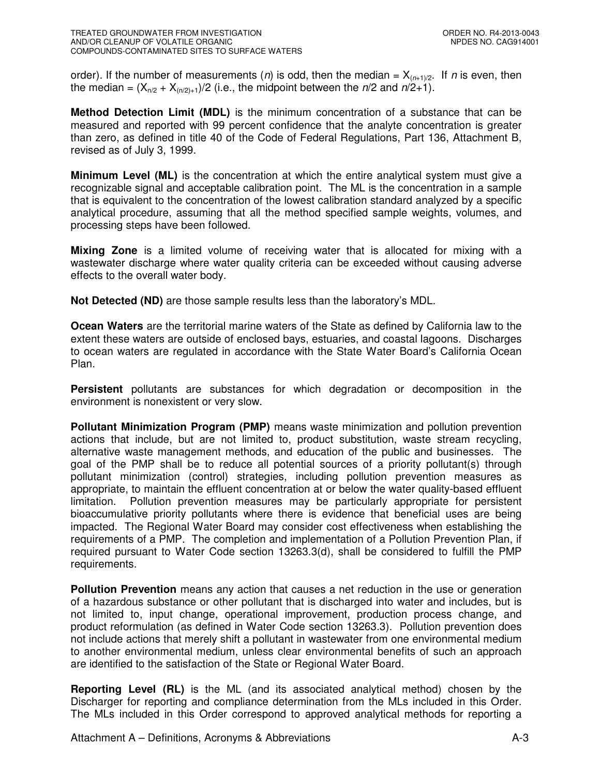order). If the number of measurements (*n*) is odd, then the median =  $X_{(n+1)/2}$ . If *n* is even, then the median =  $(X_{n/2} + X_{n/2)+1}/2$  (i.e., the midpoint between the  $n/2$  and  $n/2+1$ ).

**Method Detection Limit (MDL)** is the minimum concentration of a substance that can be measured and reported with 99 percent confidence that the analyte concentration is greater than zero, as defined in title 40 of the Code of Federal Regulations, Part 136, Attachment B, revised as of July 3, 1999.

**Minimum Level (ML)** is the concentration at which the entire analytical system must give a recognizable signal and acceptable calibration point. The ML is the concentration in a sample that is equivalent to the concentration of the lowest calibration standard analyzed by a specific analytical procedure, assuming that all the method specified sample weights, volumes, and processing steps have been followed.

**Mixing Zone** is a limited volume of receiving water that is allocated for mixing with a wastewater discharge where water quality criteria can be exceeded without causing adverse effects to the overall water body.

**Not Detected (ND)** are those sample results less than the laboratory's MDL.

**Ocean Waters** are the territorial marine waters of the State as defined by California law to the extent these waters are outside of enclosed bays, estuaries, and coastal lagoons. Discharges to ocean waters are regulated in accordance with the State Water Board's California Ocean Plan.

**Persistent** pollutants are substances for which degradation or decomposition in the environment is nonexistent or very slow.

**Pollutant Minimization Program (PMP)** means waste minimization and pollution prevention actions that include, but are not limited to, product substitution, waste stream recycling, alternative waste management methods, and education of the public and businesses. The goal of the PMP shall be to reduce all potential sources of a priority pollutant(s) through pollutant minimization (control) strategies, including pollution prevention measures as appropriate, to maintain the effluent concentration at or below the water quality-based effluent limitation. Pollution prevention measures may be particularly appropriate for persistent bioaccumulative priority pollutants where there is evidence that beneficial uses are being impacted. The Regional Water Board may consider cost effectiveness when establishing the requirements of a PMP. The completion and implementation of a Pollution Prevention Plan, if required pursuant to Water Code section 13263.3(d), shall be considered to fulfill the PMP requirements.

**Pollution Prevention** means any action that causes a net reduction in the use or generation of a hazardous substance or other pollutant that is discharged into water and includes, but is not limited to, input change, operational improvement, production process change, and product reformulation (as defined in Water Code section 13263.3). Pollution prevention does not include actions that merely shift a pollutant in wastewater from one environmental medium to another environmental medium, unless clear environmental benefits of such an approach are identified to the satisfaction of the State or Regional Water Board.

**Reporting Level (RL)** is the ML (and its associated analytical method) chosen by the Discharger for reporting and compliance determination from the MLs included in this Order. The MLs included in this Order correspond to approved analytical methods for reporting a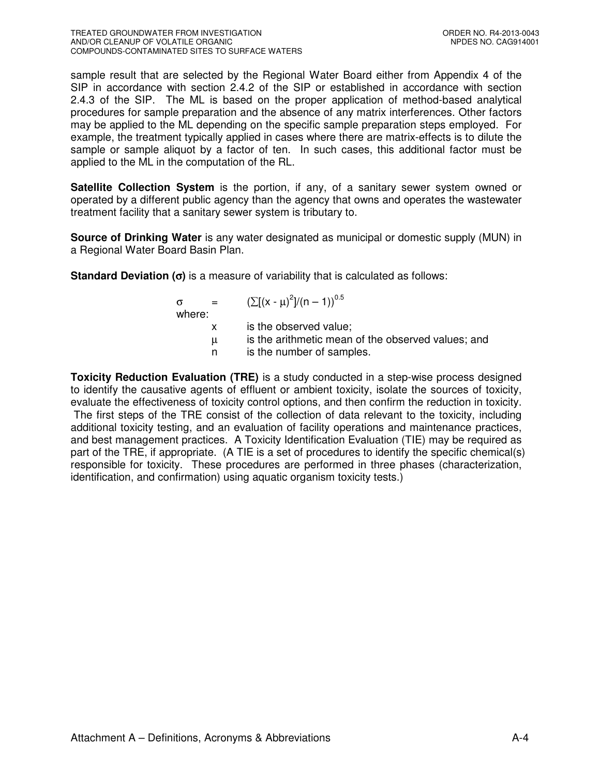sample result that are selected by the Regional Water Board either from Appendix 4 of the SIP in accordance with section 2.4.2 of the SIP or established in accordance with section 2.4.3 of the SIP. The ML is based on the proper application of method-based analytical procedures for sample preparation and the absence of any matrix interferences. Other factors may be applied to the ML depending on the specific sample preparation steps employed. For example, the treatment typically applied in cases where there are matrix-effects is to dilute the sample or sample aliquot by a factor of ten. In such cases, this additional factor must be applied to the ML in the computation of the RL.

**Satellite Collection System** is the portion, if any, of a sanitary sewer system owned or operated by a different public agency than the agency that owns and operates the wastewater treatment facility that a sanitary sewer system is tributary to.

**Source of Drinking Water** is any water designated as municipal or domestic supply (MUN) in a Regional Water Board Basin Plan.

**Standard Deviation (**σ**)** is a measure of variability that is calculated as follows:

| $\alpha = 1$<br>where: | $(\sum [(x - \mu)^2]/(n - 1))^{0.5}$                                            |
|------------------------|---------------------------------------------------------------------------------|
|                        | is the observed value;                                                          |
| $\mu$<br>n.            | is the arithmetic mean of the observed values; and<br>is the number of samples. |

**Toxicity Reduction Evaluation (TRE)** is a study conducted in a step-wise process designed to identify the causative agents of effluent or ambient toxicity, isolate the sources of toxicity, evaluate the effectiveness of toxicity control options, and then confirm the reduction in toxicity. The first steps of the TRE consist of the collection of data relevant to the toxicity, including additional toxicity testing, and an evaluation of facility operations and maintenance practices, and best management practices. A Toxicity Identification Evaluation (TIE) may be required as part of the TRE, if appropriate. (A TIE is a set of procedures to identify the specific chemical(s) responsible for toxicity. These procedures are performed in three phases (characterization, identification, and confirmation) using aquatic organism toxicity tests.)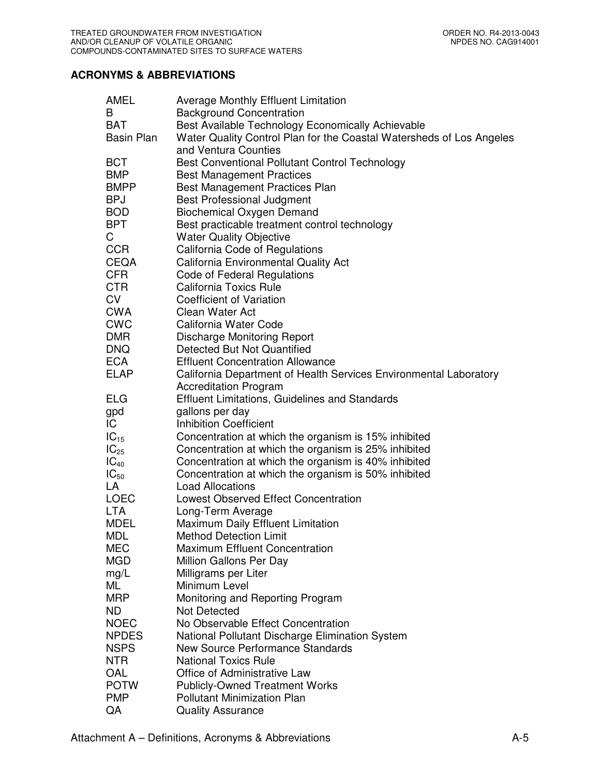## **ACRONYMS & ABBREVIATIONS**

| AMEL              | <b>Average Monthly Effluent Limitation</b>                           |
|-------------------|----------------------------------------------------------------------|
| B                 | <b>Background Concentration</b>                                      |
| <b>BAT</b>        | Best Available Technology Economically Achievable                    |
| <b>Basin Plan</b> | Water Quality Control Plan for the Coastal Watersheds of Los Angeles |
|                   | and Ventura Counties                                                 |
| <b>BCT</b>        | Best Conventional Pollutant Control Technology                       |
| <b>BMP</b>        | <b>Best Management Practices</b>                                     |
| <b>BMPP</b>       | <b>Best Management Practices Plan</b>                                |
| <b>BPJ</b>        | <b>Best Professional Judgment</b>                                    |
| <b>BOD</b>        | <b>Biochemical Oxygen Demand</b>                                     |
| <b>BPT</b>        | Best practicable treatment control technology                        |
| C                 | <b>Water Quality Objective</b>                                       |
| <b>CCR</b>        | California Code of Regulations                                       |
| <b>CEQA</b>       | California Environmental Quality Act                                 |
| <b>CFR</b>        | <b>Code of Federal Regulations</b>                                   |
| CTR               | <b>California Toxics Rule</b>                                        |
| <b>CV</b>         | Coefficient of Variation                                             |
| <b>CWA</b>        | Clean Water Act                                                      |
| <b>CWC</b>        | California Water Code                                                |
| <b>DMR</b>        | <b>Discharge Monitoring Report</b>                                   |
| <b>DNQ</b>        | Detected But Not Quantified                                          |
| <b>ECA</b>        | <b>Effluent Concentration Allowance</b>                              |
| <b>ELAP</b>       | California Department of Health Services Environmental Laboratory    |
|                   | <b>Accreditation Program</b>                                         |
| <b>ELG</b>        | <b>Effluent Limitations, Guidelines and Standards</b>                |
| gpd               | gallons per day                                                      |
| IC.               | <b>Inhibition Coefficient</b>                                        |
| $IC_{15}$         | Concentration at which the organism is 15% inhibited                 |
| $IC_{25}$         | Concentration at which the organism is 25% inhibited                 |
| $IC_{40}$         | Concentration at which the organism is 40% inhibited                 |
| $IC_{50}$         | Concentration at which the organism is 50% inhibited                 |
| LA                | <b>Load Allocations</b>                                              |
| <b>LOEC</b>       | <b>Lowest Observed Effect Concentration</b>                          |
| <b>LTA</b>        | Long-Term Average                                                    |
| <b>MDEL</b>       | Maximum Daily Effluent Limitation                                    |
| <b>MDL</b>        | <b>Method Detection Limit</b>                                        |
| <b>MEC</b>        | <b>Maximum Effluent Concentration</b>                                |
| <b>MGD</b>        | Million Gallons Per Day                                              |
| mg/L              | Milligrams per Liter                                                 |
| ML                | Minimum Level                                                        |
| <b>MRP</b>        | Monitoring and Reporting Program                                     |
| <b>ND</b>         | Not Detected                                                         |
| <b>NOEC</b>       | No Observable Effect Concentration                                   |
| <b>NPDES</b>      | National Pollutant Discharge Elimination System                      |
| <b>NSPS</b>       | New Source Performance Standards                                     |
| NTR               | <b>National Toxics Rule</b>                                          |
| OAL               | Office of Administrative Law                                         |
| <b>POTW</b>       | <b>Publicly-Owned Treatment Works</b>                                |
| <b>PMP</b>        | <b>Pollutant Minimization Plan</b>                                   |
| QA                | <b>Quality Assurance</b>                                             |